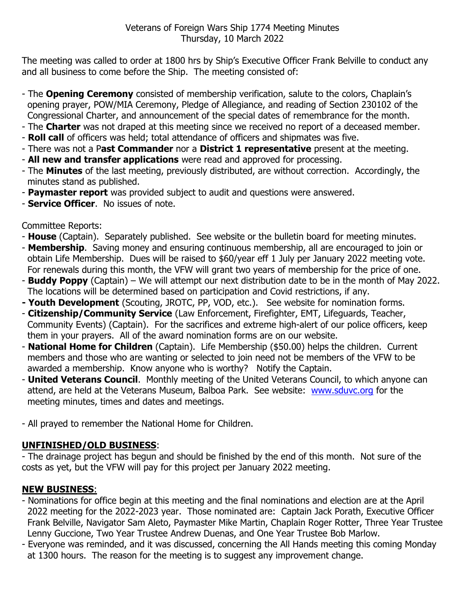The meeting was called to order at 1800 hrs by Ship's Executive Officer Frank Belville to conduct any and all business to come before the Ship. The meeting consisted of:

- The **Opening Ceremony** consisted of membership verification, salute to the colors, Chaplain's opening prayer, POW/MIA Ceremony, Pledge of Allegiance, and reading of Section 230102 of the Congressional Charter, and announcement of the special dates of remembrance for the month.
- The **Charter** was not draped at this meeting since we received no report of a deceased member.
- **Roll call** of officers was held; total attendance of officers and shipmates was five.
- There was not a P**ast Commander** nor a **District 1 representative** present at the meeting.
- **All new and transfer applications** were read and approved for processing.
- The **Minutes** of the last meeting, previously distributed, are without correction. Accordingly, the minutes stand as published.
- **Paymaster report** was provided subject to audit and questions were answered.
- **Service Officer**. No issues of note.

Committee Reports:

- **House** (Captain). Separately published. See website or the bulletin board for meeting minutes.
- **Membership**. Saving money and ensuring continuous membership, all are encouraged to join or obtain Life Membership. Dues will be raised to \$60/year eff 1 July per January 2022 meeting vote. For renewals during this month, the VFW will grant two years of membership for the price of one.
- **Buddy Poppy** (Captain) We will attempt our next distribution date to be in the month of May 2022. The locations will be determined based on participation and Covid restrictions, if any.
- **- Youth Development** (Scouting, JROTC, PP, VOD, etc.). See website for nomination forms.
- **Citizenship/Community Service** (Law Enforcement, Firefighter, EMT, Lifeguards, Teacher, Community Events) (Captain). For the sacrifices and extreme high-alert of our police officers, keep them in your prayers. All of the award nomination forms are on our website.
- **National Home for Children** (Captain). Life Membership (\$50.00) helps the children. Current members and those who are wanting or selected to join need not be members of the VFW to be awarded a membership. Know anyone who is worthy? Notify the Captain.
- **United Veterans Council**. Monthly meeting of the United Veterans Council, to which anyone can attend, are held at the Veterans Museum, Balboa Park. See website: [www.sduvc.org](http://www.sduvc.org/) for the meeting minutes, times and dates and meetings.
- All prayed to remember the National Home for Children.

## **UNFINISHED/OLD BUSINESS**:

- The drainage project has begun and should be finished by the end of this month. Not sure of the costs as yet, but the VFW will pay for this project per January 2022 meeting.

## **NEW BUSINESS**:

- Nominations for office begin at this meeting and the final nominations and election are at the April 2022 meeting for the 2022-2023 year. Those nominated are: Captain Jack Porath, Executive Officer Frank Belville, Navigator Sam Aleto, Paymaster Mike Martin, Chaplain Roger Rotter, Three Year Trustee Lenny Guccione, Two Year Trustee Andrew Duenas, and One Year Trustee Bob Marlow.
- Everyone was reminded, and it was discussed, concerning the All Hands meeting this coming Monday at 1300 hours. The reason for the meeting is to suggest any improvement change.